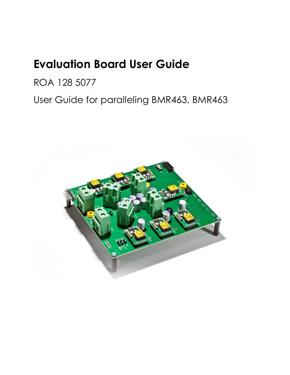# **Evaluation Board User Guide**

ROA 128 5077

User Guide for paralleling BMR463, BMR463

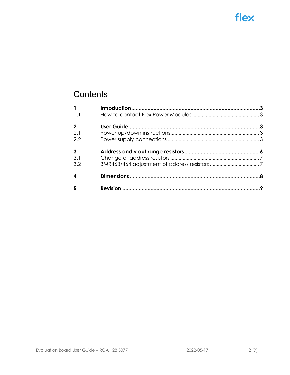# **Contents**

| $\mathbf{1}$   |  |
|----------------|--|
| 1.1            |  |
| $\overline{2}$ |  |
| 2.1            |  |
| 2.2            |  |
| $\mathbf{3}$   |  |
| 3.1            |  |
| 3.2            |  |
| 4              |  |
|                |  |
| 5              |  |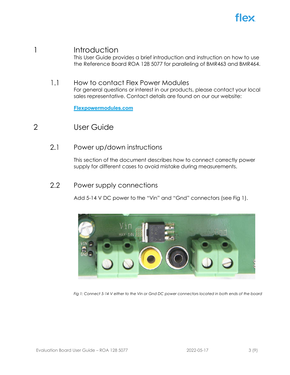

## <span id="page-2-1"></span><span id="page-2-0"></span>1 Introduction

This User Guide provides a brief introduction and instruction on how to use the Reference Board ROA 128 5077 for paralleling of BMR463 and BMR464.

#### $1.1$ How to contact Flex Power Modules

For general questions or interest in our products, please contact your local sales representative. Contact details are found on our our website:

**[Flexpowermodules.com](http://www.flexpowermodules.com/)**

## <span id="page-2-3"></span><span id="page-2-2"></span>2 User Guide

 $2.1$ Power up/down instructions

> This section of the document describes how to connect correctly power supply for different cases to avoid mistake during measurements.

#### <span id="page-2-4"></span> $2.2$ Power supply connections

Add 5-14 V DC power to the "Vin" and "Gnd" connectors (see Fig 1).



*Fig 1: Connect 5-14 V either to the Vin or Gnd DC power connectors located in both ends of the board*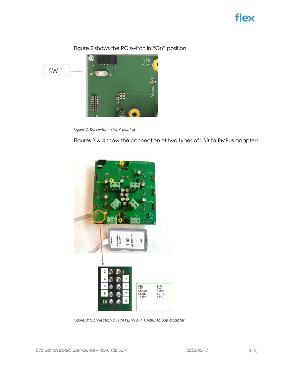



Figure 2 shows the RC switch in "On" position.







*Figure 3: Connection o FPM KEP91017 PMBus to USB adapter*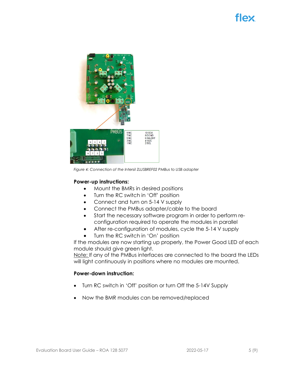

*Figure 4: Connection of the Intersil ZLUSBREF02 PMBus to USB adapter*

## **Power-up instructions:**

- Mount the BMRs in desired positions
- Turn the RC switch in 'Off' position
- Connect and turn on 5-14 V supply
- Connect the PMBus adapter/cable to the board
- Start the necessary software program in order to perform reconfiguration required to operate the modules in parallel
- After re-configuration of modules, cycle the 5-14 V supply
- Turn the RC switch in 'On' position

If the modules are now starting up properly, the Power Good LED of each module should give green light.

Note: If any of the PMBus interfaces are connected to the board the LEDs will light continuously in positions where no modules are mounted.

## **Power-down instruction:**

- Turn RC switch in 'Off' position or turn Off the 5-14V Supply
- Now the BMR modules can be removed/replaced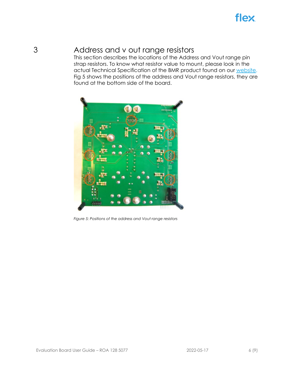## <span id="page-5-0"></span>3 Address and v out range resistors

This section describes the locations of the Address and Vout range pin strap resistors. To know what resistor value to mount, please look in the actual Technical Specification of the BMR product found on our [website.](https://flexpowermodules.com/products?power_module_type=POL_DI) Fig 5 shows the positions of the address and Vout range resistors, they are found at the bottom side of the board.



*Figure 5: Positions of the address and Vout range resistors*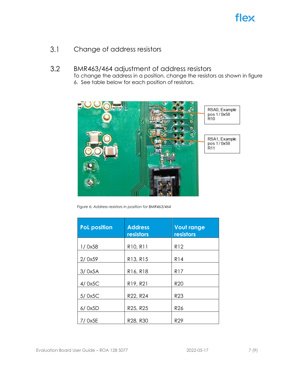<span id="page-6-1"></span><span id="page-6-0"></span> $3.1$ Change of address resistors

#### $3.2$ BMR463/464 adjustment of address resistors

To change the address in a position, change the resistors as shown in figure 6. See table below for each position of resistors.



*Figure 6: Address resistors in position for BMR463/464*

| <b>PoL position</b> | <b>Address</b><br>resistors | <b>Vout range</b><br>resistors |
|---------------------|-----------------------------|--------------------------------|
| 1/0x58              | R10, R11                    | <b>R12</b>                     |
| 2/0x59              | R13, R15                    | <b>R14</b>                     |
| 3/0x5A              | R16, R18                    | <b>R17</b>                     |
| 4/0x5C              | R19, R21                    | R <sub>20</sub>                |
| 5/0x5C              | R22, R24                    | R <sub>23</sub>                |
| 6/0x5D              | R25, R25                    | R <sub>26</sub>                |
| 0x5E                | R28, R30                    | R <sub>29</sub>                |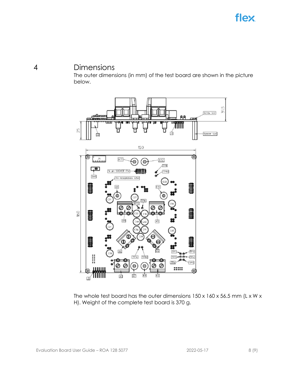## <span id="page-7-0"></span>4 Dimensions

The outer dimensions (in mm) of the test board are shown in the picture below.



The whole test board has the outer dimensions 150 x 160 x 56.5 mm (L x W x H). Weight of the complete test board is 370 g.